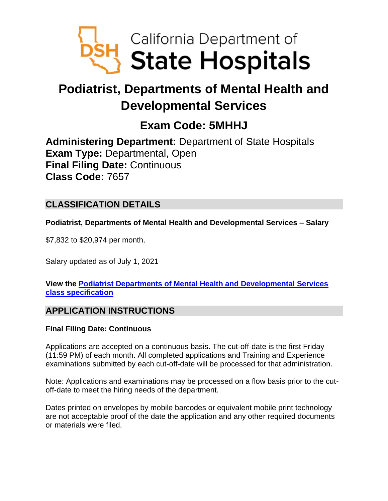

# **Podiatrist, Departments of Mental Health and Developmental Services**

## **Exam Code: 5MHHJ**

**Administering Department:** Department of State Hospitals **Exam Type:** Departmental, Open **Final Filing Date:** Continuous **Class Code:** 7657

## **CLASSIFICATION DETAILS**

**Podiatrist, Departments of Mental Health and Developmental Services – Salary**

\$7,832 to \$20,974 per month.

Salary updated as of July 1, 2021

**View the [Podiatrist Departments of Mental Health and Developmental Services](https://www.calhr.ca.gov/state-hr-professionals/Pages/7657.aspx) [class specification](https://www.calhr.ca.gov/state-hr-professionals/Pages/7657.aspx)**

## **APPLICATION INSTRUCTIONS**

### **Final Filing Date: Continuous**

Applications are accepted on a continuous basis. The cut-off-date is the first Friday (11:59 PM) of each month. All completed applications and Training and Experience examinations submitted by each cut-off-date will be processed for that administration.

Note: Applications and examinations may be processed on a flow basis prior to the cutoff-date to meet the hiring needs of the department.

Dates printed on envelopes by mobile barcodes or equivalent mobile print technology are not acceptable proof of the date the application and any other required documents or materials were filed.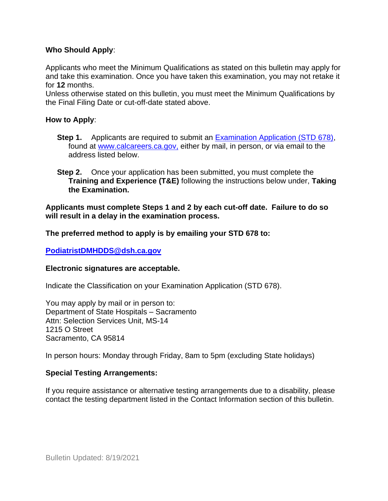#### **Who Should Apply**:

Applicants who meet the Minimum Qualifications as stated on this bulletin may apply for and take this examination. Once you have taken this examination, you may not retake it for **12** months.

Unless otherwise stated on this bulletin, you must meet the Minimum Qualifications by the Final Filing Date or cut-off-date stated above.

#### **How to Apply**:

- **Step 1.** Applicants are required to submit an [Examination Application \(STD 678\),](https://jobs.ca.gov/pdf/std678.pdf) found at [www.calcareers.ca.gov,](http://www.calcareers.ca.gov/) either by mail, in person, or via email to the address listed below.
- **Step 2.** Once your application has been submitted, you must complete the **Training and Experience (T&E)** following the instructions below under, **Taking the Examination.**

**Applicants must complete Steps 1 and 2 by each cut-off date. Failure to do so will result in a delay in the examination process.**

**The preferred method to apply is by emailing your STD 678 to:**

#### **[PodiatristDMHDDS@dsh.ca.gov](mailto:PodiatristDMHDDS@dsh.ca.gov)**

#### **Electronic signatures are acceptable.**

Indicate the Classification on your Examination Application (STD 678).

You may apply by mail or in person to: Department of State Hospitals – Sacramento Attn: Selection Services Unit, MS-14 1215 O Street Sacramento, CA 95814

In person hours: Monday through Friday, 8am to 5pm (excluding State holidays)

#### **Special Testing Arrangements:**

If you require assistance or alternative testing arrangements due to a disability, please contact the testing department listed in the Contact Information section of this bulletin.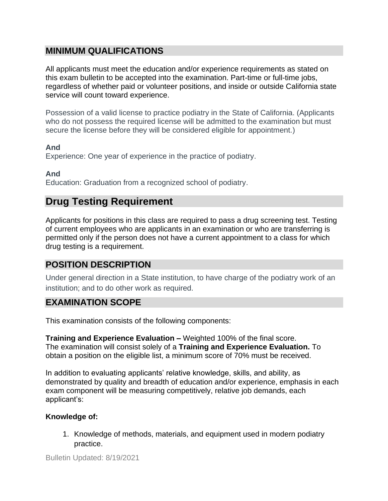## **MINIMUM QUALIFICATIONS**

All applicants must meet the education and/or experience requirements as stated on this exam bulletin to be accepted into the examination. Part-time or full-time jobs, regardless of whether paid or volunteer positions, and inside or outside California state service will count toward experience.

Possession of a valid license to practice podiatry in the State of California. (Applicants who do not possess the required license will be admitted to the examination but must secure the license before they will be considered eligible for appointment.)

#### **And**

Experience: One year of experience in the practice of podiatry.

**And**

Education: Graduation from a recognized school of podiatry.

## **Drug Testing Requirement**

Applicants for positions in this class are required to pass a drug screening test. Testing of current employees who are applicants in an examination or who are transferring is permitted only if the person does not have a current appointment to a class for which drug testing is a requirement.

## **POSITION DESCRIPTION**

Under general direction in a State institution, to have charge of the podiatry work of an institution; and to do other work as required.

## **EXAMINATION SCOPE**

This examination consists of the following components:

**Training and Experience Evaluation –** Weighted 100% of the final score. The examination will consist solely of a **Training and Experience Evaluation.** To obtain a position on the eligible list, a minimum score of 70% must be received.

In addition to evaluating applicants' relative knowledge, skills, and ability, as demonstrated by quality and breadth of education and/or experience, emphasis in each exam component will be measuring competitively, relative job demands, each applicant's:

### **Knowledge of:**

1. Knowledge of methods, materials, and equipment used in modern podiatry practice.

Bulletin Updated: 8/19/2021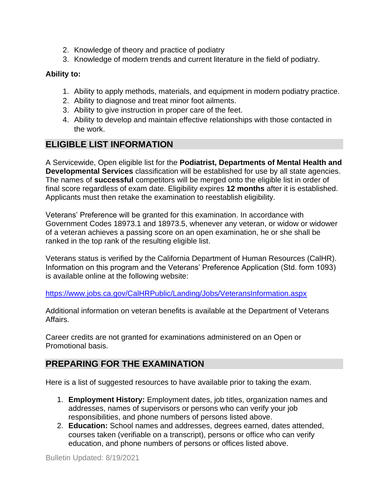- 2. Knowledge of theory and practice of podiatry
- 3. Knowledge of modern trends and current literature in the field of podiatry.

### **Ability to:**

- 1. Ability to apply methods, materials, and equipment in modern podiatry practice.
- 2. Ability to diagnose and treat minor foot ailments.
- 3. Ability to give instruction in proper care of the feet.
- 4. Ability to develop and maintain effective relationships with those contacted in the work.

## **ELIGIBLE LIST INFORMATION**

A Servicewide, Open eligible list for the **Podiatrist, Departments of Mental Health and Developmental Services** classification will be established for use by all state agencies. The names of **successful** competitors will be merged onto the eligible list in order of final score regardless of exam date. Eligibility expires **12 months** after it is established. Applicants must then retake the examination to reestablish eligibility.

Veterans' Preference will be granted for this examination. In accordance with Government Codes 18973.1 and 18973.5, whenever any veteran, or widow or widower of a veteran achieves a passing score on an open examination, he or she shall be ranked in the top rank of the resulting eligible list.

Veterans status is verified by the California Department of Human Resources (CalHR). Information on this program and the Veterans' Preference Application (Std. form 1093) is available online at the following website:

<https://www.jobs.ca.gov/CalHRPublic/Landing/Jobs/VeteransInformation.aspx>

Additional information on veteran benefits is available at the Department of Veterans Affairs.

Career credits are not granted for examinations administered on an Open or Promotional basis.

## **PREPARING FOR THE EXAMINATION**

Here is a list of suggested resources to have available prior to taking the exam.

- 1. **Employment History:** Employment dates, job titles, organization names and addresses, names of supervisors or persons who can verify your job responsibilities, and phone numbers of persons listed above.
- 2. **Education:** School names and addresses, degrees earned, dates attended, courses taken (verifiable on a transcript), persons or office who can verify education, and phone numbers of persons or offices listed above.

Bulletin Updated: 8/19/2021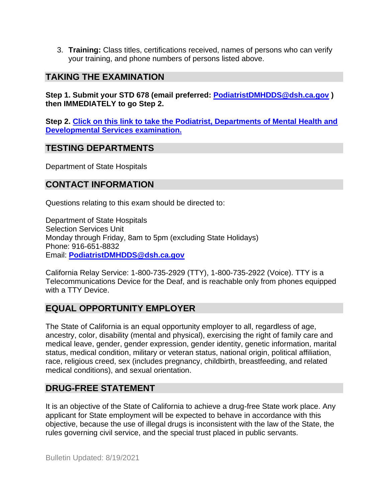3. **Training:** Class titles, certifications received, names of persons who can verify your training, and phone numbers of persons listed above.

## **TAKING THE EXAMINATION**

**Step 1. Submit your STD 678 (email preferred: [PodiatristDMHDDS@dsh.ca.gov](mailto:PodiatristDMHDDS@dsh.ca.gov) ) then IMMEDIATELY to go Step 2.**

**Step 2. [Click on this link to take the Podiatrist, Departments of Mental Health and](https://www.surveymonkey.com/r/LCSF3HL)  [Developmental Services](https://www.surveymonkey.com/r/LCSF3HL) examination.**

### **TESTING DEPARTMENTS**

Department of State Hospitals

## **CONTACT INFORMATION**

Questions relating to this exam should be directed to:

Department of State Hospitals Selection Services Unit Monday through Friday, 8am to 5pm (excluding State Holidays) Phone: 916-651-8832 Email: **[PodiatristDMHDDS@dsh.ca.gov](mailto:PodiatristDMHDDS@dsh.ca.gov)**

California Relay Service: 1-800-735-2929 (TTY), 1-800-735-2922 (Voice). TTY is a Telecommunications Device for the Deaf, and is reachable only from phones equipped with a TTY Device.

## **EQUAL OPPORTUNITY EMPLOYER**

The State of California is an equal opportunity employer to all, regardless of age, ancestry, color, disability (mental and physical), exercising the right of family care and medical leave, gender, gender expression, gender identity, genetic information, marital status, medical condition, military or veteran status, national origin, political affiliation, race, religious creed, sex (includes pregnancy, childbirth, breastfeeding, and related medical conditions), and sexual orientation.

## **DRUG-FREE STATEMENT**

It is an objective of the State of California to achieve a drug-free State work place. Any applicant for State employment will be expected to behave in accordance with this objective, because the use of illegal drugs is inconsistent with the law of the State, the rules governing civil service, and the special trust placed in public servants.